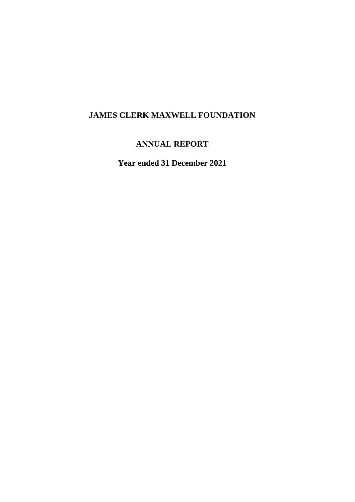# **JAMES CLERK MAXWELL FOUNDATION**

## **ANNUAL REPORT**

**Year ended 31 December 2021**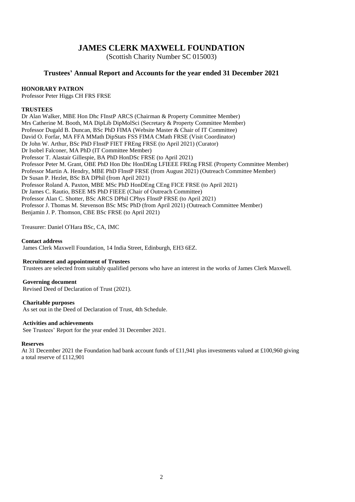## **JAMES CLERK MAXWELL FOUNDATION**

(Scottish Charity Number SC 015003)

## **Trustees' Annual Report and Accounts for the year ended 31 December 2021**

#### **HONORARY PATRON**

Professor Peter Higgs CH FRS FRSE

#### **TRUSTEES**

Dr Alan Walker, MBE Hon Dhc FInstP ARCS (Chairman & Property Committee Member) Mrs Catherine M. Booth, MA DipLib DipMolSci (Secretary & Property Committee Member) Professor Dugald B. Duncan, BSc PhD FIMA (Website Master & Chair of IT Committee) David O. Forfar, MA FFA MMath DipStats FSS FIMA CMath FRSE (Visit Coordinator) Dr John W. Arthur, BSc PhD FInstP FIET FREng FRSE (to April 2021) (Curator) Dr Isobel Falconer, MA PhD (IT Committee Member) Professor T. Alastair Gillespie, BA PhD HonDSc FRSE (to April 2021) Professor Peter M. Grant, OBE PhD Hon Dhc HonDEng LFIEEE FREng FRSE (Property Committee Member) Professor Martin A. Hendry, MBE PhD FInstP FRSE (from August 2021) (Outreach Committee Member) Dr Susan P. Hezlet, BSc BA DPhil (from April 2021) Professor Roland A. Paxton, MBE MSc PhD HonDEng CEng FICE FRSE (to April 2021) Dr James C. Rautio, BSEE MS PhD FIEEE (Chair of Outreach Committee) Professor Alan C. Shotter, BSc ARCS DPhil CPhys FInstP FRSE (to April 2021) Professor J. Thomas M. Stevenson BSc MSc PhD (from April 2021) (Outreach Committee Member) Benjamin J. P. Thomson, CBE BSc FRSE (to April 2021)

Treasurer: Daniel O'Hara BSc, CA, IMC

#### **Contact address**

James Clerk Maxwell Foundation, 14 India Street, Edinburgh, EH3 6EZ.

#### **Recruitment and appointment of Trustees**

Trustees are selected from suitably qualified persons who have an interest in the works of James Clerk Maxwell.

#### **Governing document**

Revised Deed of Declaration of Trust (2021).

#### **Charitable purposes**

As set out in the Deed of Declaration of Trust, 4th Schedule.

#### **Activities and achievements**

See Trustees' Report for the year ended 31 December 2021.

#### **Reserves**

At 31 December 2021 the Foundation had bank account funds of £11,941 plus investments valued at £100,960 giving a total reserve of £112,901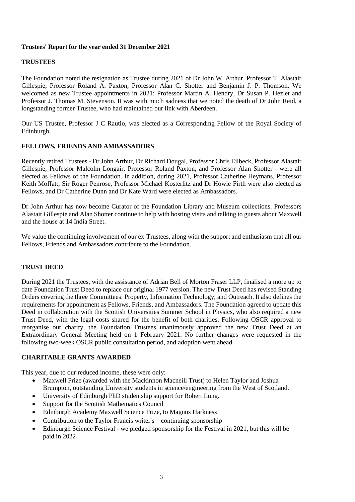### **Trustees' Report for the year ended 31 December 2021**

#### **TRUSTEES**

The Foundation noted the resignation as Trustee during 2021 of Dr John W. Arthur, Professor T. Alastair Gillespie, Professor Roland A. Paxton, Professor Alan C. Shotter and Benjamin J. P. Thomson. We welcomed as new Trustee appointments in 2021: Professor Martin A. Hendry, Dr Susan P. Hezlet and Professor J. Thomas M. Stevenson. It was with much sadness that we noted the death of Dr John Reid, a longstanding former Trustee, who had maintained our link with Aberdeen.

Our US Trustee, Professor J C Rautio, was elected as a Corresponding Fellow of the Royal Society of Edinburgh.

#### **FELLOWS, FRIENDS AND AMBASSADORS**

Recently retired Trustees - Dr John Arthur, Dr Richard Dougal, Professor Chris Eilbeck, Professor Alastair Gillespie, Professor Malcolm Longair, Professor Roland Paxton, and Professor Alan Shotter - were all elected as Fellows of the Foundation. In addition, during 2021, Professor Catherine Heymans, Professor Keith Moffatt, Sir Roger Penrose, Professor Michael Kosterlitz and Dr Howie Firth were also elected as Fellows, and Dr Catherine Dunn and Dr Kate Ward were elected as Ambassadors.

Dr John Arthur has now become Curator of the Foundation Library and Museum collections. Professors Alastair Gillespie and Alan Shotter continue to help with hosting visits and talking to guests about Maxwell and the house at 14 India Street.

We value the continuing involvement of our ex-Trustees, along with the support and enthusiasm that all our Fellows, Friends and Ambassadors contribute to the Foundation.

#### **TRUST DEED**

During 2021 the Trustees, with the assistance of Adrian Bell of Morton Fraser LLP, finalised a more up to date Foundation Trust Deed to replace our original 1977 version. The new Trust Deed has revised Standing Orders covering the three Committees: Property, Information Technology, and Outreach. It also defines the requirements for appointment as Fellows, Friends, and Ambassadors. The Foundation agreed to update this Deed in collaboration with the Scottish Universities Summer School in Physics, who also required a new Trust Deed, with the legal costs shared for the benefit of both charities. Following OSCR approval to reorganise our charity, the Foundation Trustees unanimously approved the new Trust Deed at an Extraordinary General Meeting held on 1 February 2021. No further changes were requested in the following two-week OSCR public consultation period, and adoption went ahead.

#### **CHARITABLE GRANTS AWARDED**

This year, due to our reduced income, these were only:

- Maxwell Prize (awarded with the Mackinnon Macneill Trust) to Helen Taylor and Joshua Brumpton, outstanding University students in science/engineering from the West of Scotland.
- University of Edinburgh PhD studentship support for Robert Lung.
- Support for the Scottish Mathematics Council
- Edinburgh Academy Maxwell Science Prize, to Magnus Harkness
- Contribution to the Taylor Francis writer's continuing sponsorship
- Edinburgh Science Festival we pledged sponsorship for the Festival in 2021, but this will be paid in 2022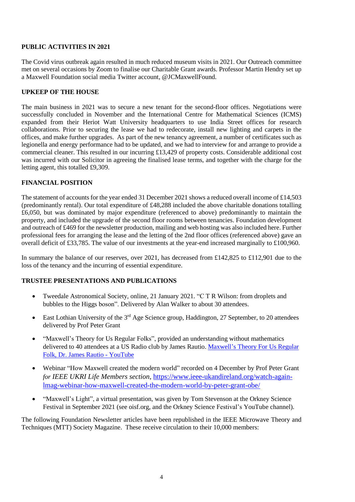## **PUBLIC ACTIVITIES IN 2021**

The Covid virus outbreak again resulted in much reduced museum visits in 2021. Our Outreach committee met on several occasions by Zoom to finalise our Charitable Grant awards. Professor Martin Hendry set up a Maxwell Foundation social media Twitter account, @JCMaxwellFound.

## **UPKEEP OF THE HOUSE**

The main business in 2021 was to secure a new tenant for the second-floor offices. Negotiations were successfully concluded in November and the International Centre for Mathematical Sciences (ICMS) expanded from their Heriot Watt University headquarters to use India Street offices for research collaborations. Prior to securing the lease we had to redecorate, install new lighting and carpets in the offices, and make further upgrades. As part of the new tenancy agreement, a number of certificates such as legionella and energy performance had to be updated, and we had to interview for and arrange to provide a commercial cleaner. This resulted in our incurring £13,429 of property costs. Considerable additional cost was incurred with our Solicitor in agreeing the finalised lease terms, and together with the charge for the letting agent, this totalled £9,309.

## **FINANCIAL POSITION**

The statement of accounts for the year ended 31 December 2021 shows a reduced overall income of £14,503 (predominantly rental). Our total expenditure of £48,288 included the above charitable donations totalling £6,050, but was dominated by major expenditure (referenced to above) predominantly to maintain the property, and included the upgrade of the second floor rooms between tenancies. Foundation development and outreach of £469 for the newsletter production, mailing and web hosting was also included here. Further professional fees for arranging the lease and the letting of the 2nd floor offices (referenced above) gave an overall deficit of £33,785. The value of our investments at the year-end increased marginally to £100,960.

In summary the balance of our reserves, over 2021, has decreased from £142,825 to £112,901 due to the loss of the tenancy and the incurring of essential expenditure.

## **TRUSTEE PRESENTATIONS AND PUBLICATIONS**

- Tweedale Astronomical Society, online, 21 January 2021. "C T R Wilson: from droplets and bubbles to the Higgs boson". Delivered by Alan Walker to about 30 attendees.
- East Lothian University of the  $3<sup>rd</sup>$  Age Science group, Haddington, 27 September, to 20 attendees delivered by Prof Peter Grant
- "Maxwell's Theory for Us Regular Folks", provided an understanding without mathematics delivered to 40 attendees at a US Radio club by James Rautio. [Maxwell's](https://www.youtube.com/watch?v=WwPfFAWxQd4) Theory For Us Regular Folk, Dr. James Rautio - [YouTube](https://www.youtube.com/watch?v=WwPfFAWxQd4)
- Webinar "How Maxwell created the modern world" recorded on 4 December by Prof Peter Grant *for IEEE UKRI Life Members section*, [https://www.ieee-ukandireland.org/watch-again](https://www.ieee-ukandireland.org/watch-again-lmag-webinar-how-maxwell-created-the-modern-world-by-peter-grant-obe/)[lmag-webinar-how-maxwell-created-the-modern-world-by-peter-grant-obe/](https://www.ieee-ukandireland.org/watch-again-lmag-webinar-how-maxwell-created-the-modern-world-by-peter-grant-obe/)
- "Maxwell's Light", a virtual presentation, was given by Tom Stevenson at the Orkney Science Festival in September 2021 (see oisf.org, and the Orkney Science Festival's YouTube channel).

The following Foundation Newsletter articles have been republished in the IEEE Microwave Theory and Techniques (MTT) Society Magazine. These receive circulation to their 10,000 members: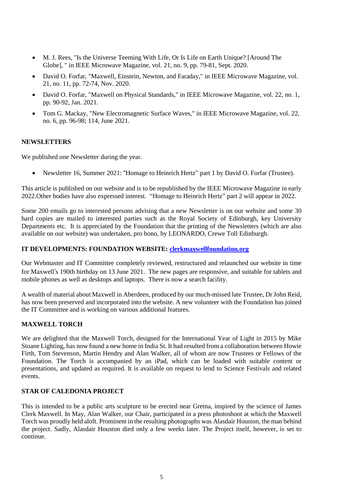- M. J. Rees, "Is the Universe Teeming With Life, Or Is Life on Earth Unique? [Around The Globe], " in IEEE Microwave Magazine, vol. 21, no. 9, pp. 79-81, Sept. 2020.
- David O. Forfar, "Maxwell, Einstein, Newton, and Faraday," in IEEE Microwave Magazine, vol. 21, no. 11, pp. 72-74, Nov. 2020.
- David O. Forfar, "Maxwell on Physical Standards," in IEEE Microwave Magazine, vol. 22, no. 1, pp. 90-92, Jan. 2021.
- Tom G. Mackay, "New Electromagnetic Surface Waves," in IEEE Microwave Magazine, vol. 22, no. 6, pp. 96-98; 114, June 2021.

## **NEWSLETTERS**

We published one Newsletter during the year.

Newsletter 16, Summer 2021: "Homage to Heinrich Hertz" part 1 by David O. Forfar (Trustee).

This article is published on our website and is to be republished by the IEEE Microwave Magazine in early 2022.Other bodies have also expressed interest. "Homage to Heinrich Hertz" part 2 will appear in 2022.

Some 200 emails go to interested persons advising that a new Newsletter is on our website and some 30 hard copies are mailed to interested parties such as the Royal Society of Edinburgh, key University Departments etc. It is appreciated by the Foundation that the printing of the Newsletters (which are also available on our website) was undertaken, pro bono, by LEONARDO, Crewe Toll Edinburgh.

#### **IT DEVELOPMENTS: FOUNDATION WEBSITE: [clerkmaxwellfoundation.org](http://clerkmaxwellfoundation.org/)**

Our Webmaster and IT Committee completely reviewed, restructured and relaunched our website in time for Maxwell's 190th birthday on 13 June 2021. The new pages are responsive, and suitable for tablets and mobile phones as well as desktops and laptops. There is now a search facility.

A wealth of material about Maxwell in Aberdeen, produced by our much-missed late Trustee, Dr John Reid, has now been preserved and incorporated into the website. A new volunteer with the Foundation has joined the IT Committee and is working on various additional features.

#### **MAXWELL TORCH**

We are delighted that the Maxwell Torch, designed for the International Year of Light in 2015 by Mike Stoane Lighting, has now found a new home in India St. It had resulted from a collaboration between Howie Firth, Tom Stevenson, Martin Hendry and Alan Walker, all of whom are now Trustees or Fellows of the Foundation. The Torch is accompanied by an iPad, which can be loaded with suitable content or presentations, and updated as required. It is available on request to lend to Science Festivals and related events.

#### **STAR OF CALEDONIA PROJECT**

This is intended to be a public arts sculpture to be erected near Gretna, inspired by the science of James Clerk Maxwell. In May, Alan Walker, our Chair, participated in a press photoshoot at which the Maxwell Torch was proudly held aloft. Prominent in the resulting photographs was Alasdair Houston, the man behind the project. Sadly, Alasdair Houston died only a few weeks later. The Project itself, however, is set to continue.